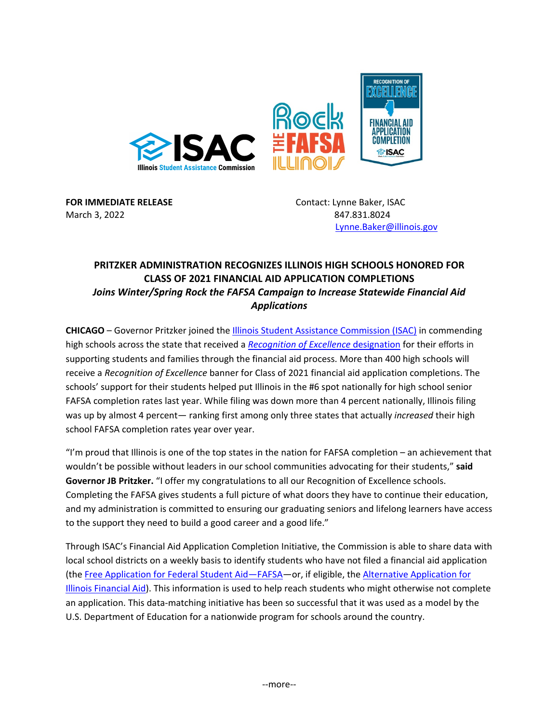

**FOR IMMEDIATE RELEASE Contact: Lynne Baker, ISAC** March 3, 2022 847.831.8024

[Lynne.Baker@illinois.gov](mailto:Lynne.Baker@illinois.gov)

## **PRITZKER ADMINISTRATION RECOGNIZES ILLINOIS HIGH SCHOOLS HONORED FOR CLASS OF 2021 FINANCIAL AID APPLICATION COMPLETIONS**  *Joins Winter/Spring Rock the FAFSA Campaign to Increase Statewide Financial Aid Applications*

**CHICAGO** – Governor Pritzker joined the *Illinois Student Assistance Commission (ISAC)* in commending high schools across the state that received a *[Recognition of Excellence](https://www.isac.org/home/fafsa/2021.html)* designation for their efforts in supporting students and families through the financial aid process. More than 400 high schools will receive a *Recognition of Excellence* banner for Class of 2021 financial aid application completions. The schools' support for their students helped put Illinois in the #6 spot nationally for high school senior FAFSA completion rates last year. While filing was down more than 4 percent nationally, Illinois filing was up by almost 4 percent— ranking first among only three states that actually *increased* their high school FAFSA completion rates year over year.

"I'm proud that Illinois is one of the top states in the nation for FAFSA completion – an achievement that wouldn't be possible without leaders in our school communities advocating for their students," **said Governor JB Pritzker.** "I offer my congratulations to all our Recognition of Excellence schools. Completing the FAFSA gives students a full picture of what doors they have to continue their education, and my administration is committed to ensuring our graduating seniors and lifelong learners have access to the support they need to build a good career and a good life."

Through ISAC's Financial Aid Application Completion Initiative, the Commission is able to share data with local school districts on a weekly basis to identify students who have not filed a financial aid application (the [Free Application for Federal Student Aid—FAFSA—](https://studentaid.gov/h/apply-for-aid/fafsa)or, if eligible, th[e Alternative Application for](https://www.isac.org/students/before-college/financial-aid-planning/retention-of-illinois-rise-act/)  [Illinois Financial Aid\)](https://www.isac.org/students/before-college/financial-aid-planning/retention-of-illinois-rise-act/). This information is used to help reach students who might otherwise not complete an application. This data-matching initiative has been so successful that it was used as a model by the U.S. Department of Education for a nationwide program for schools around the country.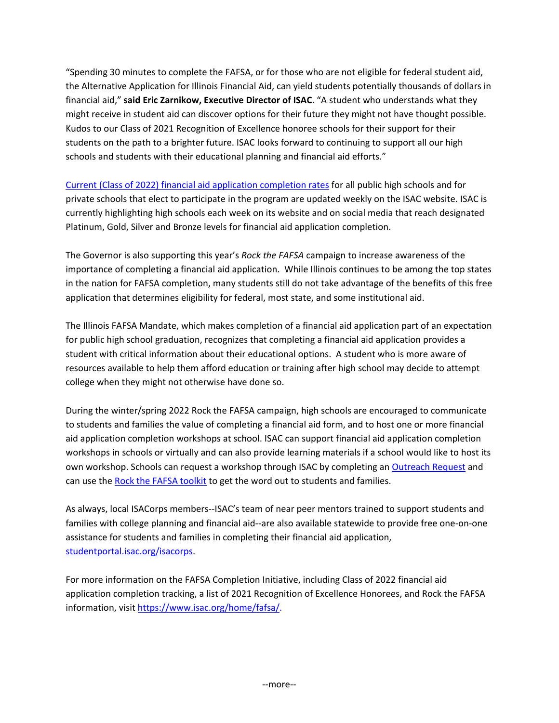"Spending 30 minutes to complete the FAFSA, or for those who are not eligible for federal student aid, the Alternative Application for Illinois Financial Aid, can yield students potentially thousands of dollars in financial aid," **said Eric Zarnikow, Executive Director of ISAC**. "A student who understands what they might receive in student aid can discover options for their future they might not have thought possible. Kudos to our Class of 2021 Recognition of Excellence honoree schools for their support for their students on the path to a brighter future. ISAC looks forward to continuing to support all our high schools and students with their educational planning and financial aid efforts."

[Current \(Class of 2022\) financial aid application completion rates](https://www.isac.org/home/fafsa/) for all public high schools and for private schools that elect to participate in the program are updated weekly on the ISAC website. ISAC is currently highlighting high schools each week on its website and on social media that reach designated Platinum, Gold, Silver and Bronze levels for financial aid application completion.

The Governor is also supporting this year's *Rock the FAFSA* campaign to increase awareness of the importance of completing a financial aid application. While Illinois continues to be among the top states in the nation for FAFSA completion, many students still do not take advantage of the benefits of this free application that determines eligibility for federal, most state, and some institutional aid.

The Illinois FAFSA Mandate, which makes completion of a financial aid application part of an expectation for public high school graduation, recognizes that completing a financial aid application provides a student with critical information about their educational options. A student who is more aware of resources available to help them afford education or training after high school may decide to attempt college when they might not otherwise have done so.

During the winter/spring 2022 Rock the FAFSA campaign, high schools are encouraged to communicate to students and families the value of completing a financial aid form, and to host one or more financial aid application completion workshops at school. ISAC can support financial aid application completion workshops in schools or virtually and can also provide learning materials if a school would like to host its own workshop. Schools can request a workshop through ISAC by completing an [Outreach Request](https://www.isac.org/OutreachRequestForm) and can use th[e Rock the FAFSA toolkit](https://www.isac.org/counselors/Rock-the-FAFSA/) to get the word out to students and families.

As always, local ISACorps members--ISAC's team of near peer mentors trained to support students and families with college planning and financial aid--are also available statewide to provide free one-on-one assistance for students and families in completing their financial aid application, [studentportal.isac.org/isacorps.](https://studentportal.isac.org/isacorps)

For more information on the FAFSA Completion Initiative, including Class of 2022 financial aid application completion tracking, a list of 2021 Recognition of Excellence Honorees, and Rock the FAFSA information, visit [https://www.isac.org/home/fafsa/.](https://www.isac.org/home/fafsa/)